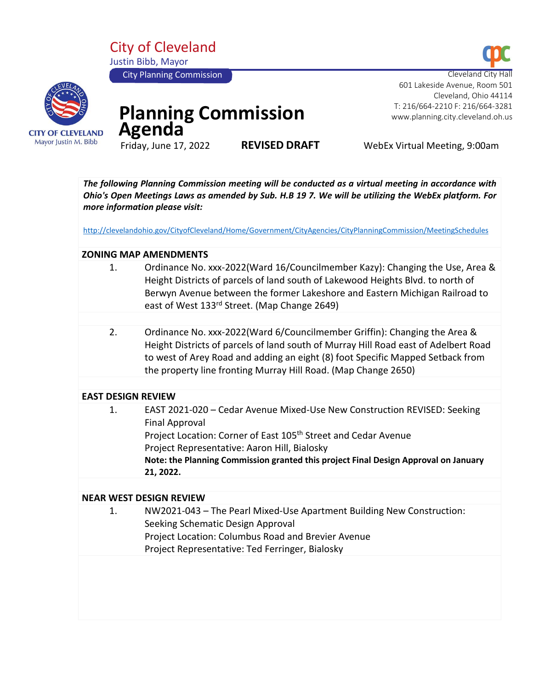City of Cleveland Justin Bibb, Mayor







# **Planning Commission**  Agenda<sup>T</sup>

**REVISED DRAFT** WebEx Virtual Meeting, 9:00am

601 Lakeside Avenue, Room 501

 T: 216/664-2210 F: 216/664-3281 www.planning.city.cleveland.oh.us

Cleveland, Ohio 44114

*The following Planning Commission meeting will be conducted as a virtual meeting in accordance with Ohio's Open Meetings Laws as amended by Sub. H.B 19 7. We will be utilizing the WebEx platform. For more information please visit:* 

<http://clevelandohio.gov/CityofCleveland/Home/Government/CityAgencies/CityPlanningCommission/MeetingSchedules>

## **ZONING MAP AMENDMENTS**

- 1. Ordinance No. xxx-2022(Ward 16/Councilmember Kazy): Changing the Use, Area & Height Districts of parcels of land south of Lakewood Heights Blvd. to north of Berwyn Avenue between the former Lakeshore and Eastern Michigan Railroad to east of West 133rd Street. (Map Change 2649)
	- 2. Ordinance No. xxx-2022(Ward 6/Councilmember Griffin): Changing the Area & Height Districts of parcels of land south of Murray Hill Road east of Adelbert Road to west of Arey Road and adding an eight (8) foot Specific Mapped Setback from the property line fronting Murray Hill Road. (Map Change 2650)

#### **EAST DESIGN REVIEW**

| 1. | EAST 2021-020 - Cedar Avenue Mixed-Use New Construction REVISED: Seeking<br>Final Approval<br>Project Location: Corner of East 105 <sup>th</sup> Street and Cedar Avenue<br>Project Representative: Aaron Hill, Bialosky<br>Note: the Planning Commission granted this project Final Design Approval on January<br>21, 2022. |
|----|------------------------------------------------------------------------------------------------------------------------------------------------------------------------------------------------------------------------------------------------------------------------------------------------------------------------------|
|----|------------------------------------------------------------------------------------------------------------------------------------------------------------------------------------------------------------------------------------------------------------------------------------------------------------------------------|

#### **NEAR WEST DESIGN REVIEW**

1. NW2021-043 – The Pearl Mixed-Use Apartment Building New Construction: Seeking Schematic Design Approval Project Location: Columbus Road and Brevier Avenue Project Representative: Ted Ferringer, Bialosky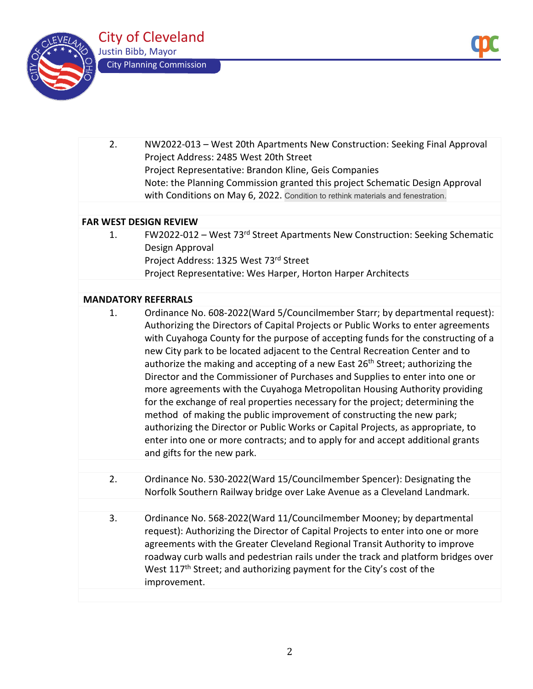



| 2.                            | NW2022-013 - West 20th Apartments New Construction: Seeking Final Approval<br>Project Address: 2485 West 20th Street                                                                                                                                                                                                                                                                                                                                                                                                                                                                                                                                                                                                                                                                                                                                                                                                                                               |  |  |
|-------------------------------|--------------------------------------------------------------------------------------------------------------------------------------------------------------------------------------------------------------------------------------------------------------------------------------------------------------------------------------------------------------------------------------------------------------------------------------------------------------------------------------------------------------------------------------------------------------------------------------------------------------------------------------------------------------------------------------------------------------------------------------------------------------------------------------------------------------------------------------------------------------------------------------------------------------------------------------------------------------------|--|--|
|                               | Project Representative: Brandon Kline, Geis Companies                                                                                                                                                                                                                                                                                                                                                                                                                                                                                                                                                                                                                                                                                                                                                                                                                                                                                                              |  |  |
|                               | Note: the Planning Commission granted this project Schematic Design Approval                                                                                                                                                                                                                                                                                                                                                                                                                                                                                                                                                                                                                                                                                                                                                                                                                                                                                       |  |  |
|                               | with Conditions on May 6, 2022. Condition to rethink materials and fenestration.                                                                                                                                                                                                                                                                                                                                                                                                                                                                                                                                                                                                                                                                                                                                                                                                                                                                                   |  |  |
|                               |                                                                                                                                                                                                                                                                                                                                                                                                                                                                                                                                                                                                                                                                                                                                                                                                                                                                                                                                                                    |  |  |
| <b>FAR WEST DESIGN REVIEW</b> |                                                                                                                                                                                                                                                                                                                                                                                                                                                                                                                                                                                                                                                                                                                                                                                                                                                                                                                                                                    |  |  |
| 1.                            | FW2022-012 - West 73rd Street Apartments New Construction: Seeking Schematic<br>Design Approval                                                                                                                                                                                                                                                                                                                                                                                                                                                                                                                                                                                                                                                                                                                                                                                                                                                                    |  |  |
|                               | Project Address: 1325 West 73rd Street                                                                                                                                                                                                                                                                                                                                                                                                                                                                                                                                                                                                                                                                                                                                                                                                                                                                                                                             |  |  |
|                               | Project Representative: Wes Harper, Horton Harper Architects                                                                                                                                                                                                                                                                                                                                                                                                                                                                                                                                                                                                                                                                                                                                                                                                                                                                                                       |  |  |
|                               |                                                                                                                                                                                                                                                                                                                                                                                                                                                                                                                                                                                                                                                                                                                                                                                                                                                                                                                                                                    |  |  |
| <b>MANDATORY REFERRALS</b>    |                                                                                                                                                                                                                                                                                                                                                                                                                                                                                                                                                                                                                                                                                                                                                                                                                                                                                                                                                                    |  |  |
| 1.                            | Ordinance No. 608-2022(Ward 5/Councilmember Starr; by departmental request):<br>Authorizing the Directors of Capital Projects or Public Works to enter agreements<br>with Cuyahoga County for the purpose of accepting funds for the constructing of a<br>new City park to be located adjacent to the Central Recreation Center and to<br>authorize the making and accepting of a new East 26 <sup>th</sup> Street; authorizing the<br>Director and the Commissioner of Purchases and Supplies to enter into one or<br>more agreements with the Cuyahoga Metropolitan Housing Authority providing<br>for the exchange of real properties necessary for the project; determining the<br>method of making the public improvement of constructing the new park;<br>authorizing the Director or Public Works or Capital Projects, as appropriate, to<br>enter into one or more contracts; and to apply for and accept additional grants<br>and gifts for the new park. |  |  |
|                               |                                                                                                                                                                                                                                                                                                                                                                                                                                                                                                                                                                                                                                                                                                                                                                                                                                                                                                                                                                    |  |  |
| 2.                            | Ordinance No. 530-2022(Ward 15/Councilmember Spencer): Designating the<br>Norfolk Southern Railway bridge over Lake Avenue as a Cleveland Landmark.                                                                                                                                                                                                                                                                                                                                                                                                                                                                                                                                                                                                                                                                                                                                                                                                                |  |  |
|                               |                                                                                                                                                                                                                                                                                                                                                                                                                                                                                                                                                                                                                                                                                                                                                                                                                                                                                                                                                                    |  |  |
| 3.                            | Ordinance No. 568-2022(Ward 11/Councilmember Mooney; by departmental<br>request): Authorizing the Director of Capital Projects to enter into one or more<br>agreements with the Greater Cleveland Regional Transit Authority to improve<br>roadway curb walls and pedestrian rails under the track and platform bridges over<br>West 117 <sup>th</sup> Street; and authorizing payment for the City's cost of the<br>improvement.                                                                                                                                                                                                                                                                                                                                                                                                                                                                                                                                  |  |  |
|                               |                                                                                                                                                                                                                                                                                                                                                                                                                                                                                                                                                                                                                                                                                                                                                                                                                                                                                                                                                                    |  |  |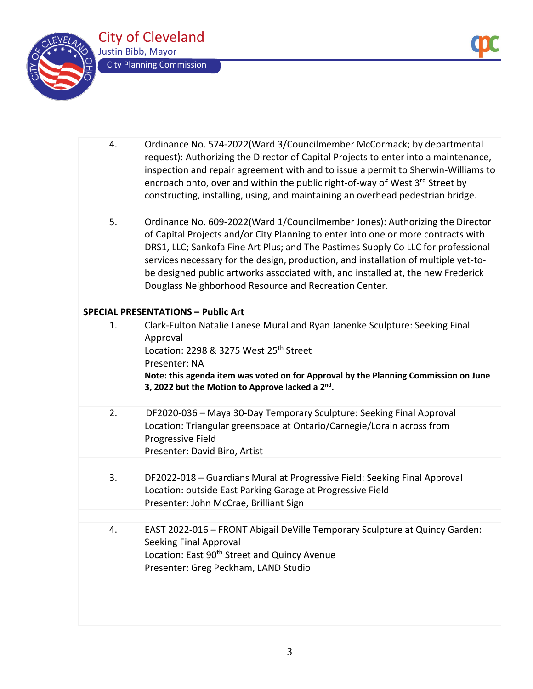

| 4.                                        | Ordinance No. 574-2022(Ward 3/Councilmember McCormack; by departmental<br>request): Authorizing the Director of Capital Projects to enter into a maintenance,<br>inspection and repair agreement with and to issue a permit to Sherwin-Williams to<br>encroach onto, over and within the public right-of-way of West 3rd Street by<br>constructing, installing, using, and maintaining an overhead pedestrian bridge.                                                                      |  |  |  |
|-------------------------------------------|--------------------------------------------------------------------------------------------------------------------------------------------------------------------------------------------------------------------------------------------------------------------------------------------------------------------------------------------------------------------------------------------------------------------------------------------------------------------------------------------|--|--|--|
|                                           |                                                                                                                                                                                                                                                                                                                                                                                                                                                                                            |  |  |  |
| 5.                                        | Ordinance No. 609-2022(Ward 1/Councilmember Jones): Authorizing the Director<br>of Capital Projects and/or City Planning to enter into one or more contracts with<br>DRS1, LLC; Sankofa Fine Art Plus; and The Pastimes Supply Co LLC for professional<br>services necessary for the design, production, and installation of multiple yet-to-<br>be designed public artworks associated with, and installed at, the new Frederick<br>Douglass Neighborhood Resource and Recreation Center. |  |  |  |
|                                           |                                                                                                                                                                                                                                                                                                                                                                                                                                                                                            |  |  |  |
| <b>SPECIAL PRESENTATIONS - Public Art</b> |                                                                                                                                                                                                                                                                                                                                                                                                                                                                                            |  |  |  |
| 1.                                        | Clark-Fulton Natalie Lanese Mural and Ryan Janenke Sculpture: Seeking Final<br>Approval<br>Location: 2298 & 3275 West 25 <sup>th</sup> Street<br>Presenter: NA<br>Note: this agenda item was voted on for Approval by the Planning Commission on June<br>3, 2022 but the Motion to Approve lacked a 2 <sup>nd</sup> .                                                                                                                                                                      |  |  |  |
|                                           |                                                                                                                                                                                                                                                                                                                                                                                                                                                                                            |  |  |  |
| 2.                                        | DF2020-036 - Maya 30-Day Temporary Sculpture: Seeking Final Approval<br>Location: Triangular greenspace at Ontario/Carnegie/Lorain across from<br>Progressive Field<br>Presenter: David Biro, Artist                                                                                                                                                                                                                                                                                       |  |  |  |
|                                           |                                                                                                                                                                                                                                                                                                                                                                                                                                                                                            |  |  |  |
| 3.                                        | DF2022-018 - Guardians Mural at Progressive Field: Seeking Final Approval<br>Location: outside East Parking Garage at Progressive Field<br>Presenter: John McCrae, Brilliant Sign                                                                                                                                                                                                                                                                                                          |  |  |  |
|                                           |                                                                                                                                                                                                                                                                                                                                                                                                                                                                                            |  |  |  |
| 4.                                        | EAST 2022-016 - FRONT Abigail DeVille Temporary Sculpture at Quincy Garden:<br>Seeking Final Approval<br>Location: East 90 <sup>th</sup> Street and Quincy Avenue<br>Presenter: Greg Peckham, LAND Studio                                                                                                                                                                                                                                                                                  |  |  |  |
|                                           |                                                                                                                                                                                                                                                                                                                                                                                                                                                                                            |  |  |  |
|                                           |                                                                                                                                                                                                                                                                                                                                                                                                                                                                                            |  |  |  |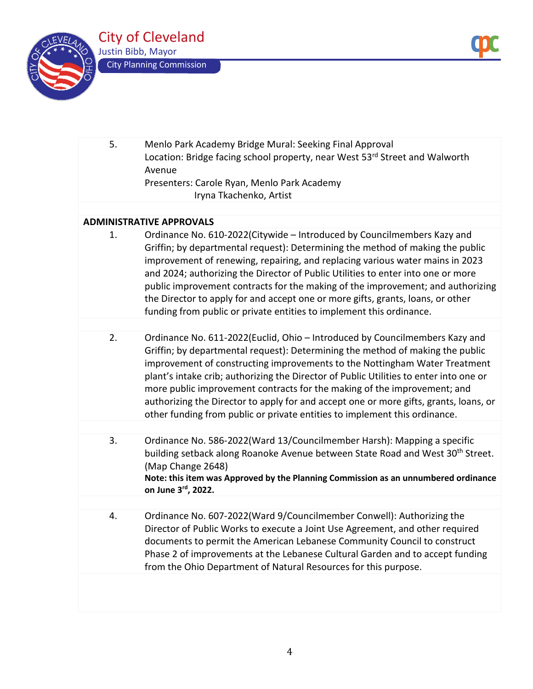

5. Menlo Park Academy Bridge Mural: Seeking Final Approval Location: Bridge facing school property, near West 53rd Street and Walworth Avenue Presenters: Carole Ryan, Menlo Park Academy Iryna Tkachenko, Artist

# **ADMINISTRATIVE APPROVALS**

- 1. Ordinance No. 610-2022(Citywide Introduced by Councilmembers Kazy and Griffin; by departmental request): Determining the method of making the public improvement of renewing, repairing, and replacing various water mains in 2023 and 2024; authorizing the Director of Public Utilities to enter into one or more public improvement contracts for the making of the improvement; and authorizing the Director to apply for and accept one or more gifts, grants, loans, or other funding from public or private entities to implement this ordinance.
- 2. Ordinance No. 611-2022(Euclid, Ohio Introduced by Councilmembers Kazy and Griffin; by departmental request): Determining the method of making the public improvement of constructing improvements to the Nottingham Water Treatment plant's intake crib; authorizing the Director of Public Utilities to enter into one or more public improvement contracts for the making of the improvement; and authorizing the Director to apply for and accept one or more gifts, grants, loans, or other funding from public or private entities to implement this ordinance.
- 3. Ordinance No. 586-2022(Ward 13/Councilmember Harsh): Mapping a specific building setback along Roanoke Avenue between State Road and West 30<sup>th</sup> Street. (Map Change 2648) **Note: this item was Approved by the Planning Commission as an unnumbered ordinance on June 3rd, 2022.** 
	- 4. Ordinance No. 607-2022(Ward 9/Councilmember Conwell): Authorizing the Director of Public Works to execute a Joint Use Agreement, and other required documents to permit the American Lebanese Community Council to construct Phase 2 of improvements at the Lebanese Cultural Garden and to accept funding from the Ohio Department of Natural Resources for this purpose.